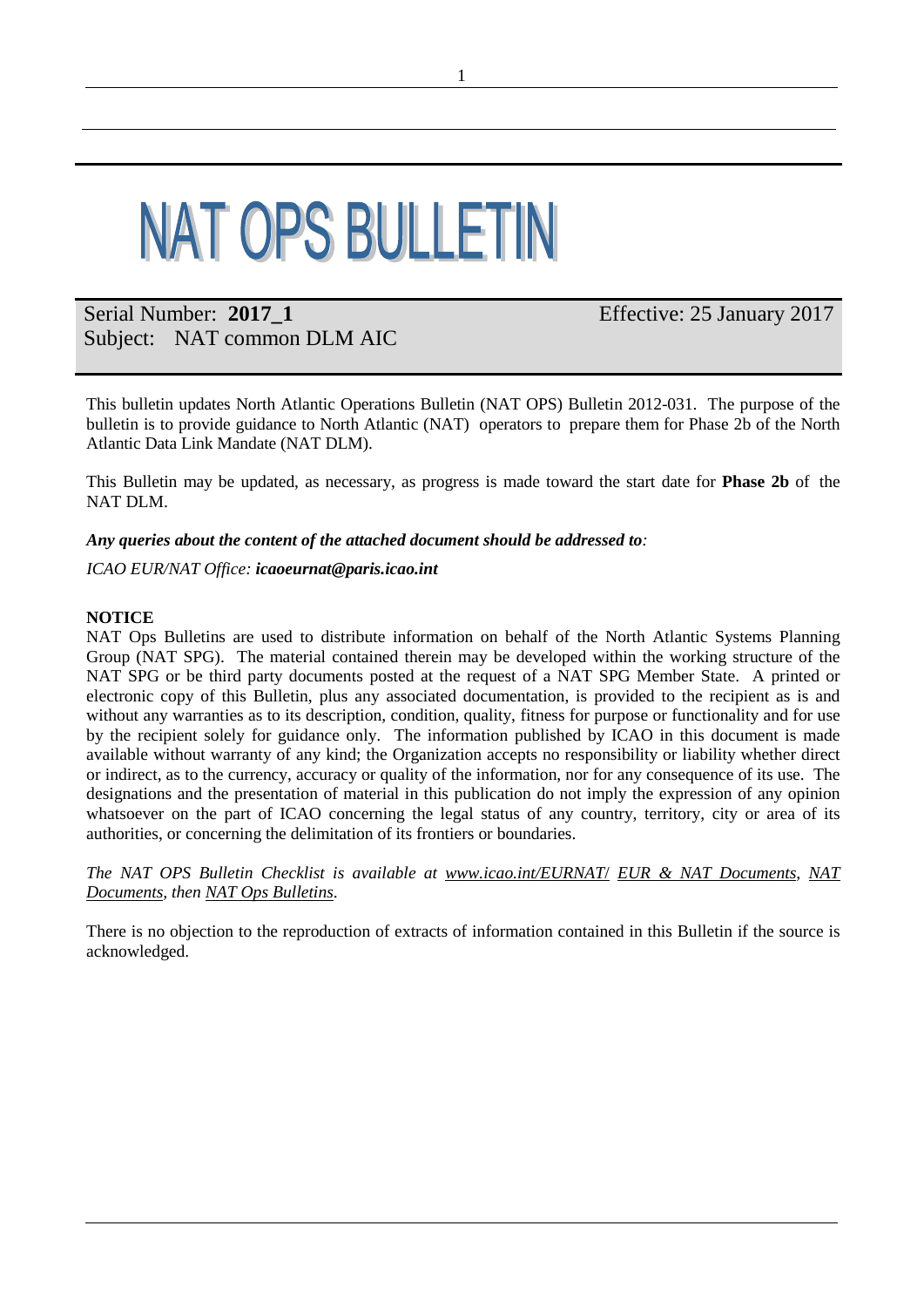# **NAT OPS BULLETIN**

## Serial Number: **2017\_1** Subject: NAT common DLM AIC

Effective: 25 January 2017

This bulletin updates North Atlantic Operations Bulletin (NAT OPS) Bulletin 2012-031. The purpose of the bulletin is to provide guidance to North Atlantic (NAT) operators to prepare them for Phase 2b of the North Atlantic Data Link Mandate (NAT DLM).

This Bulletin may be updated, as necessary, as progress is made toward the start date for **Phase 2b** of the NAT DLM.

*Any queries about the content of the attached document should be addressed to:*

*ICAO EUR/NAT Office: [icaoeurnat@paris.icao.int](mailto:icaoeurnat@paris.icao.int)*

#### **NOTICE**

NAT Ops Bulletins are used to distribute information on behalf of the North Atlantic Systems Planning Group (NAT SPG). The material contained therein may be developed within the working structure of the NAT SPG or be third party documents posted at the request of a NAT SPG Member State. A printed or electronic copy of this Bulletin, plus any associated documentation, is provided to the recipient as is and without any warranties as to its description, condition, quality, fitness for purpose or functionality and for use by the recipient solely for guidance only. The information published by ICAO in this document is made available without warranty of any kind; the Organization accepts no responsibility or liability whether direct or indirect, as to the currency, accuracy or quality of the information, nor for any consequence of its use. The designations and the presentation of material in this publication do not imply the expression of any opinion whatsoever on the part of ICAO concerning the legal status of any country, territory, city or area of its authorities, or concerning the delimitation of its frontiers or boundaries.

*The NAT OPS Bulletin Checklist is available at [www.icao.int/EURNAT](http://www.icao.int/EURNAT/)*/ *[EUR & NAT Documents,](http://www.icao.int/EURNAT/Pages/EUR-and-NAT-Document.aspx) [NAT](http://www.icao.int/EURNAT/Pages/EUR-and-NAT-Document.aspx?RootFolder=%2FEURNAT%2FEUR%20and%20NAT%20Documents%2FNAT%20Documents&FolderCTID=0x012000DAF95319EADD9946B510C5D7B595637D00AA5EB47B299B9A4BAD1968B24E18655C&View=%7b2666E7DD-5F4E-4E64-B16A-CF142A1E5BC9%7d)  [Documents,](http://www.icao.int/EURNAT/Pages/EUR-and-NAT-Document.aspx?RootFolder=%2FEURNAT%2FEUR%20and%20NAT%20Documents%2FNAT%20Documents&FolderCTID=0x012000DAF95319EADD9946B510C5D7B595637D00AA5EB47B299B9A4BAD1968B24E18655C&View=%7b2666E7DD-5F4E-4E64-B16A-CF142A1E5BC9%7d) then [NAT Ops Bulletins](http://www.icao.int/EURNAT/Pages/EUR-and-NAT-Document.aspx?RootFolder=%2FEURNAT%2FEUR%20and%20NAT%20Documents%2FNAT%20Documents%2FNAT%20OPS%20Bulletins&FolderCTID=0x012000DAF95319EADD9946B510C5D7B595637D00AA5EB47B299B9A4BAD1968B24E18655C&View=%7b2666E7DD-5F4E-4E64-B16A-CF142A1E5BC9%7d)*.

There is no objection to the reproduction of extracts of information contained in this Bulletin if the source is acknowledged.

1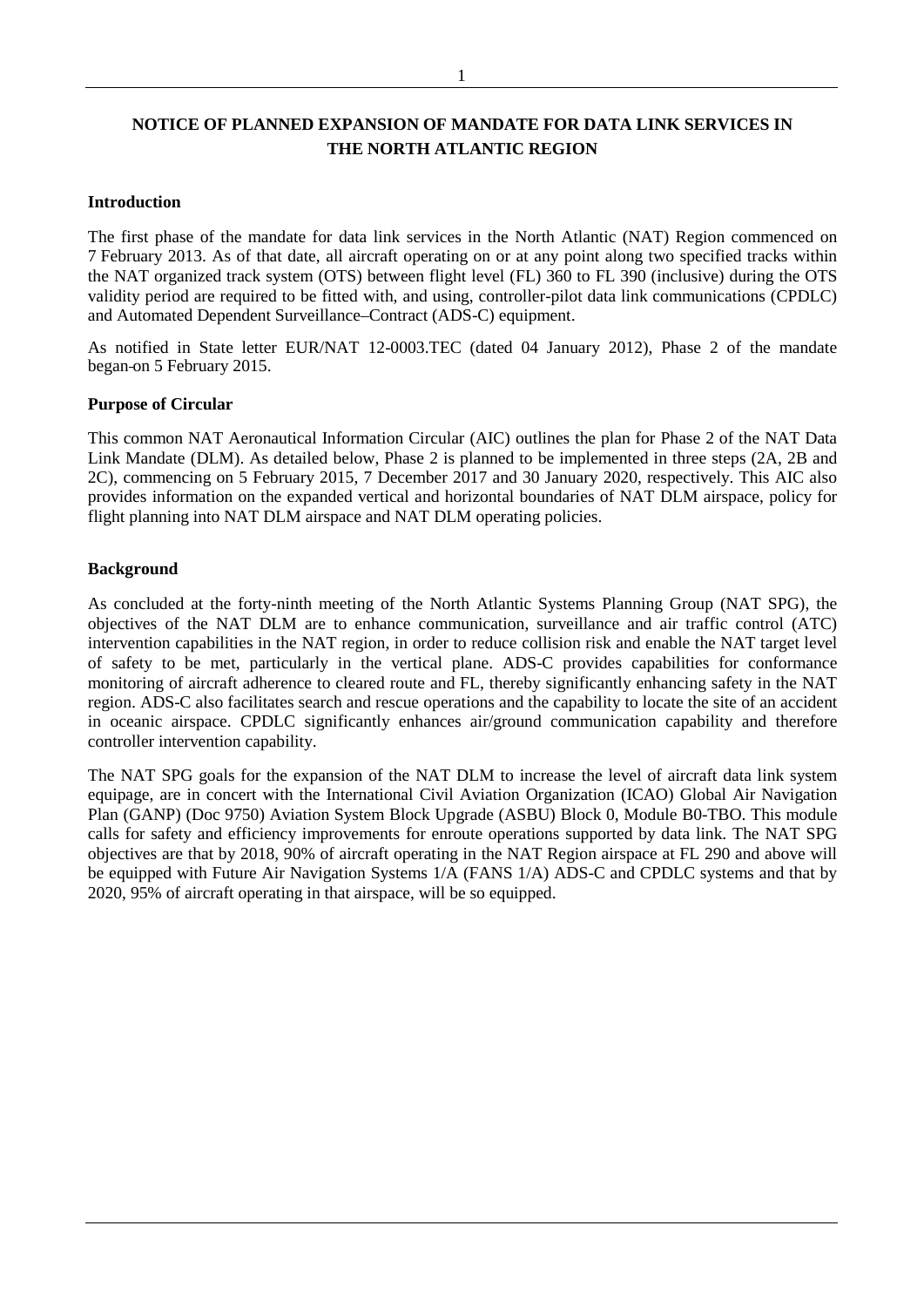### **NOTICE OF PLANNED EXPANSION OF MANDATE FOR DATA LINK SERVICES IN THE NORTH ATLANTIC REGION**

#### **Introduction**

The first phase of the mandate for data link services in the North Atlantic (NAT) Region commenced on 7 February 2013. As of that date, all aircraft operating on or at any point along two specified tracks within the NAT organized track system (OTS) between flight level (FL) 360 to FL 390 (inclusive) during the OTS validity period are required to be fitted with, and using, controller-pilot data link communications (CPDLC) and Automated Dependent Surveillance–Contract (ADS-C) equipment.

As notified in State letter EUR/NAT 12-0003.TEC (dated 04 January 2012), Phase 2 of the mandate began on 5 February 2015.

#### **Purpose of Circular**

This common NAT Aeronautical Information Circular (AIC) outlines the plan for Phase 2 of the NAT Data Link Mandate (DLM). As detailed below, Phase 2 is planned to be implemented in three steps (2A, 2B and 2C), commencing on 5 February 2015, 7 December 2017 and 30 January 2020, respectively. This AIC also provides information on the expanded vertical and horizontal boundaries of NAT DLM airspace, policy for flight planning into NAT DLM airspace and NAT DLM operating policies.

#### **Background**

As concluded at the forty-ninth meeting of the North Atlantic Systems Planning Group (NAT SPG), the objectives of the NAT DLM are to enhance communication, surveillance and air traffic control (ATC) intervention capabilities in the NAT region, in order to reduce collision risk and enable the NAT target level of safety to be met, particularly in the vertical plane. ADS-C provides capabilities for conformance monitoring of aircraft adherence to cleared route and FL, thereby significantly enhancing safety in the NAT region. ADS-C also facilitates search and rescue operations and the capability to locate the site of an accident in oceanic airspace. CPDLC significantly enhances air/ground communication capability and therefore controller intervention capability.

The NAT SPG goals for the expansion of the NAT DLM to increase the level of aircraft data link system equipage, are in concert with the International Civil Aviation Organization (ICAO) Global Air Navigation Plan (GANP) (Doc 9750) Aviation System Block Upgrade (ASBU) Block 0, Module B0-TBO. This module calls for safety and efficiency improvements for enroute operations supported by data link. The NAT SPG objectives are that by 2018, 90% of aircraft operating in the NAT Region airspace at FL 290 and above will be equipped with Future Air Navigation Systems 1/A (FANS 1/A) ADS-C and CPDLC systems and that by 2020, 95% of aircraft operating in that airspace, will be so equipped.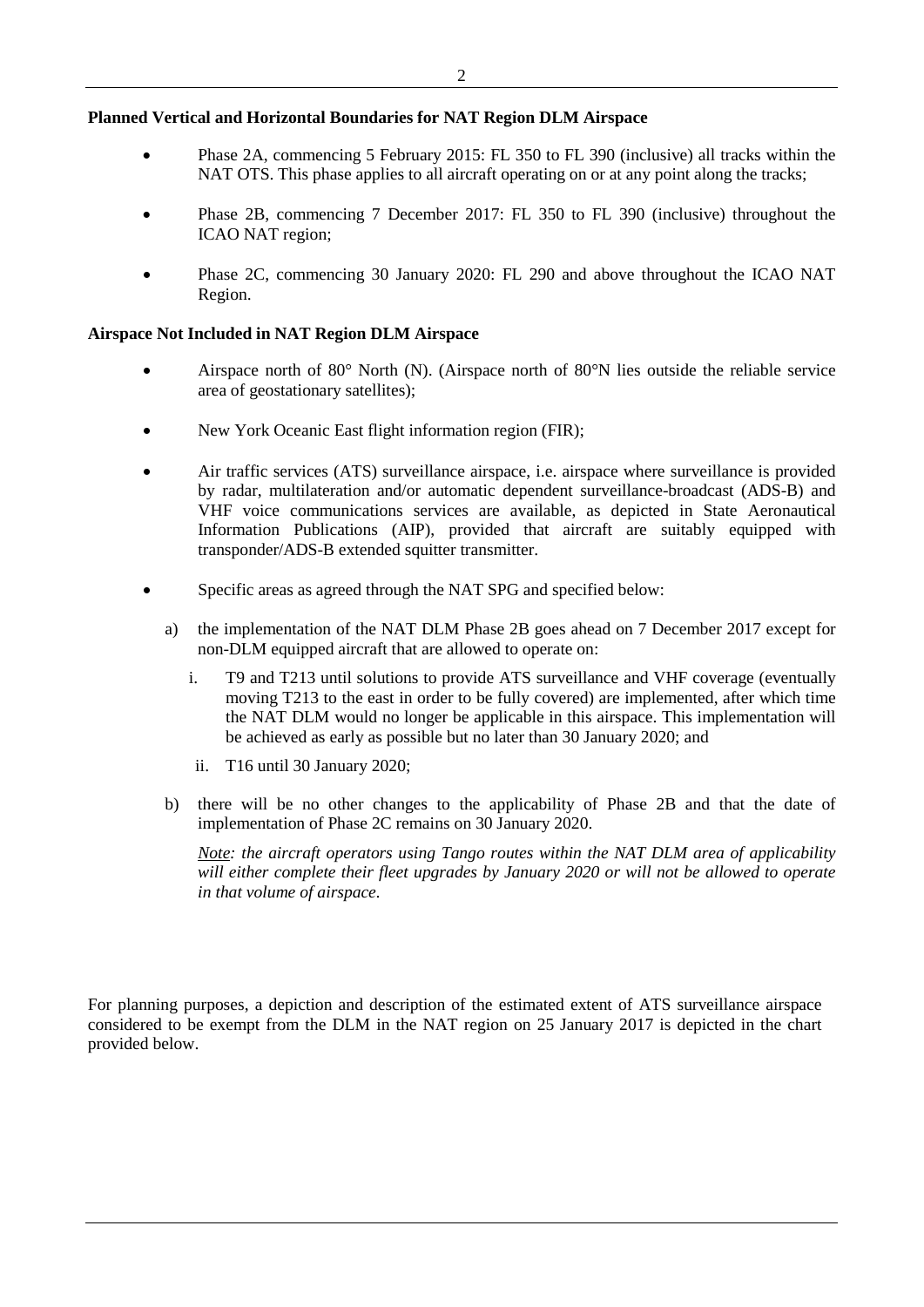#### **Planned Vertical and Horizontal Boundaries for NAT Region DLM Airspace**

- Phase 2A, commencing 5 February 2015: FL 350 to FL 390 (inclusive) all tracks within the NAT OTS. This phase applies to all aircraft operating on or at any point along the tracks;
- Phase 2B, commencing 7 December 2017: FL 350 to FL 390 (inclusive) throughout the ICAO NAT region;
- Phase 2C, commencing 30 January 2020: FL 290 and above throughout the ICAO NAT Region.

#### **Airspace Not Included in NAT Region DLM Airspace**

- Airspace north of 80° North (N). (Airspace north of 80°N lies outside the reliable service area of geostationary satellites);
- New York Oceanic East flight information region (FIR);
- Air traffic services (ATS) surveillance airspace, i.e. airspace where surveillance is provided by radar, multilateration and/or automatic dependent surveillance-broadcast (ADS-B) and VHF voice communications services are available, as depicted in State Aeronautical Information Publications (AIP), provided that aircraft are suitably equipped with transponder/ADS-B extended squitter transmitter.
- Specific areas as agreed through the NAT SPG and specified below:
	- a) the implementation of the NAT DLM Phase 2B goes ahead on 7 December 2017 except for non-DLM equipped aircraft that are allowed to operate on:
		- i. T9 and T213 until solutions to provide ATS surveillance and VHF coverage (eventually moving T213 to the east in order to be fully covered) are implemented, after which time the NAT DLM would no longer be applicable in this airspace. This implementation will be achieved as early as possible but no later than 30 January 2020; and
		- ii. T16 until 30 January 2020;
	- b) there will be no other changes to the applicability of Phase 2B and that the date of implementation of Phase 2C remains on 30 January 2020.

*Note: the aircraft operators using Tango routes within the NAT DLM area of applicability will either complete their fleet upgrades by January 2020 or will not be allowed to operate in that volume of airspace.*

For planning purposes, a depiction and description of the estimated extent of ATS surveillance airspace considered to be exempt from the DLM in the NAT region on 25 January 2017 is depicted in the chart provided below.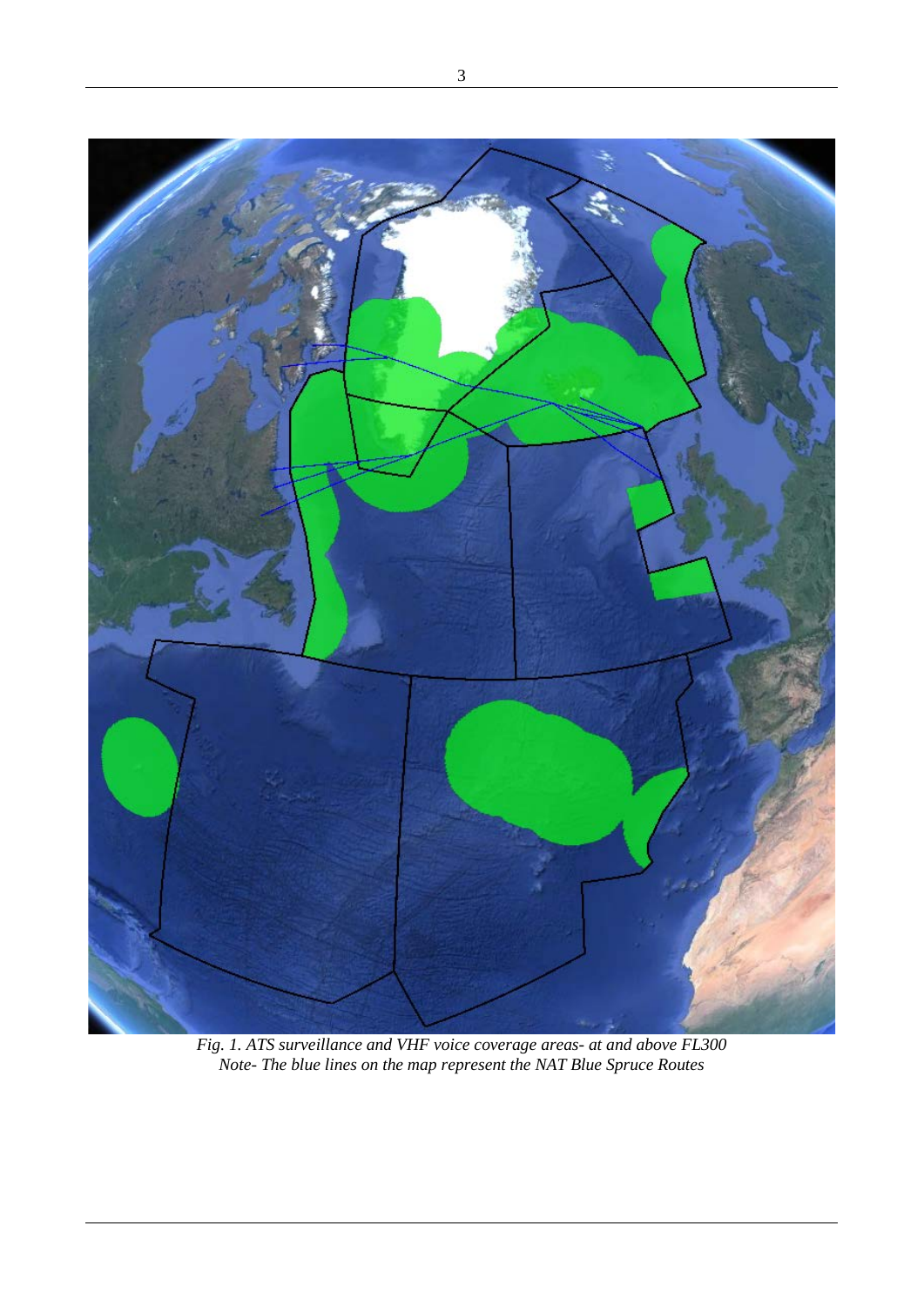

*Fig. 1. ATS surveillance and VHF voice coverage areas- at and above FL300 Note- The blue lines on the map represent the NAT Blue Spruce Routes*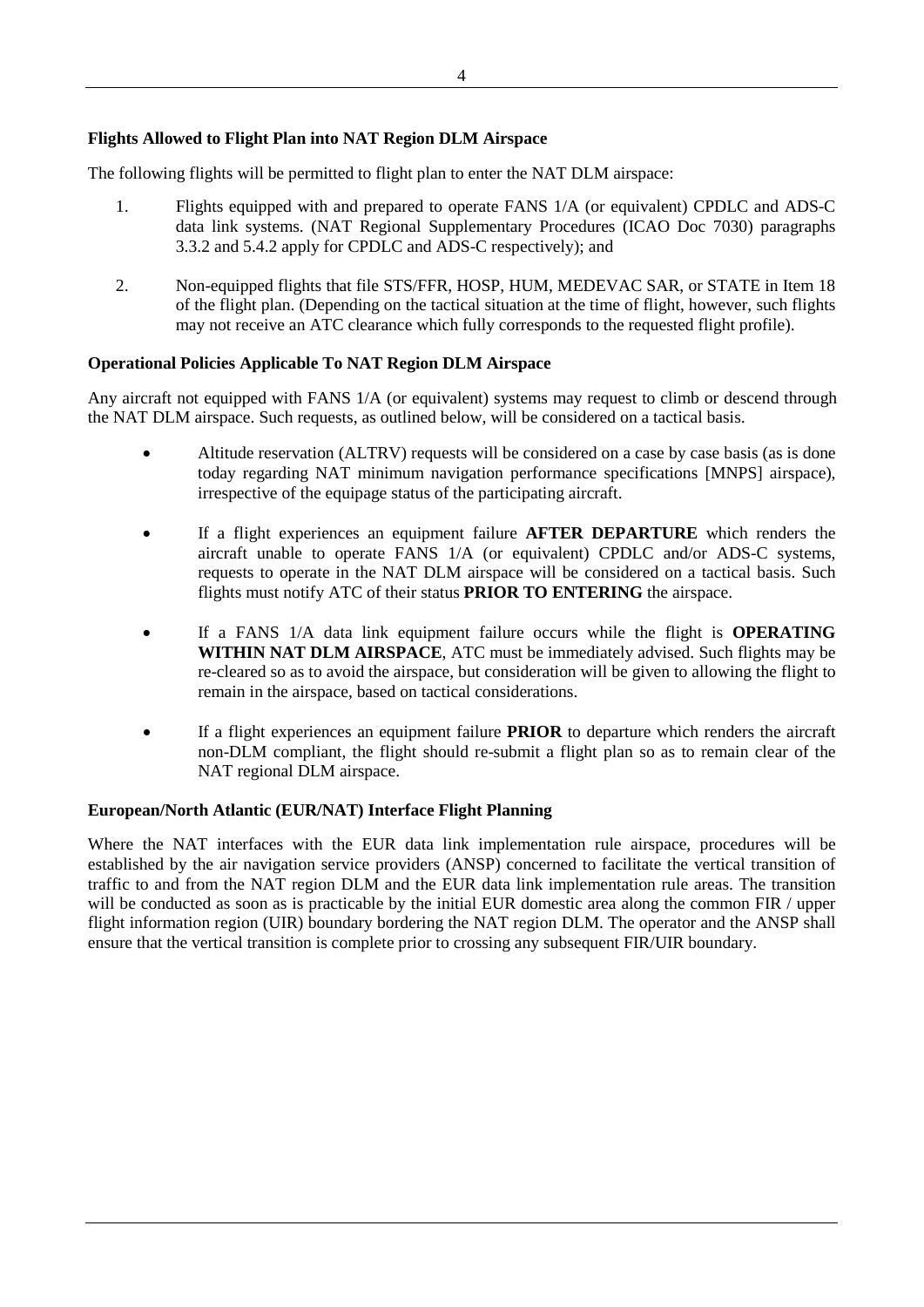## **Flights Allowed to Flight Plan into NAT Region DLM Airspace**

The following flights will be permitted to flight plan to enter the NAT DLM airspace:

- 1. Flights equipped with and prepared to operate FANS 1/A (or equivalent) CPDLC and ADS-C data link systems. (NAT Regional Supplementary Procedures (ICAO Doc 7030) paragraphs 3.3.2 and 5.4.2 apply for CPDLC and ADS-C respectively); and
- 2. Non-equipped flights that file STS/FFR, HOSP, HUM, MEDEVAC SAR, or STATE in Item 18 of the flight plan. (Depending on the tactical situation at the time of flight, however, such flights may not receive an ATC clearance which fully corresponds to the requested flight profile).

## **Operational Policies Applicable To NAT Region DLM Airspace**

Any aircraft not equipped with FANS 1/A (or equivalent) systems may request to climb or descend through the NAT DLM airspace. Such requests, as outlined below, will be considered on a tactical basis.

- Altitude reservation (ALTRV) requests will be considered on a case by case basis (as is done today regarding NAT minimum navigation performance specifications [MNPS] airspace), irrespective of the equipage status of the participating aircraft.
- If a flight experiences an equipment failure **AFTER DEPARTURE** which renders the aircraft unable to operate FANS 1/A (or equivalent) CPDLC and/or ADS-C systems, requests to operate in the NAT DLM airspace will be considered on a tactical basis. Such flights must notify ATC of their status **PRIOR TO ENTERING** the airspace.
- If a FANS 1/A data link equipment failure occurs while the flight is **OPERATING WITHIN NAT DLM AIRSPACE**, ATC must be immediately advised. Such flights may be re-cleared so as to avoid the airspace, but consideration will be given to allowing the flight to remain in the airspace, based on tactical considerations.
- If a flight experiences an equipment failure **PRIOR** to departure which renders the aircraft non-DLM compliant, the flight should re-submit a flight plan so as to remain clear of the NAT regional DLM airspace.

## **European/North Atlantic (EUR/NAT) Interface Flight Planning**

Where the NAT interfaces with the EUR data link implementation rule airspace, procedures will be established by the air navigation service providers (ANSP) concerned to facilitate the vertical transition of traffic to and from the NAT region DLM and the EUR data link implementation rule areas. The transition will be conducted as soon as is practicable by the initial EUR domestic area along the common FIR / upper flight information region (UIR) boundary bordering the NAT region DLM. The operator and the ANSP shall ensure that the vertical transition is complete prior to crossing any subsequent FIR/UIR boundary.